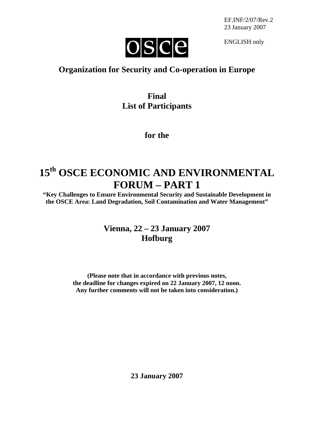

ENGLISH only

## **Organization for Security and Co-operation in Europe**

## **Final List of Participants**

#### **for the**

# **15th OSCE ECONOMIC AND ENVIRONMENTAL FORUM – PART 1**

**"Key Challenges to Ensure Environmental Security and Sustainable Development in the OSCE Area: Land Degradation, Soil Contamination and Water Management"**

## **Vienna, 22 – 23 January 2007 Hofburg**

**(Please note that in accordance with previous notes, the deadline for changes expired on 22 January 2007, 12 noon. Any further comments will not be taken into consideration.)** 

**23 January 2007**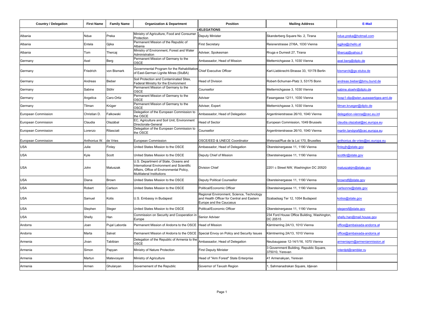| <b>Country / Delegation</b> | <b>First Name</b> | <b>Family Name</b> | <b>Organization &amp; Department</b>                                                                                                                      | <b>Position</b>                                                                                                    | <b>Mailing Address</b>                                     | E-Mail                             |
|-----------------------------|-------------------|--------------------|-----------------------------------------------------------------------------------------------------------------------------------------------------------|--------------------------------------------------------------------------------------------------------------------|------------------------------------------------------------|------------------------------------|
| Albania                     | <b>Ndue</b>       | Preka              | Ministry of Agriculture, Food and Consumer                                                                                                                | <b>DELEGATIONS</b><br>Deputy Minister                                                                              | Skanderberg Square No. 2, Tirana                           | ndue.preka@hotmail.com             |
| Albania                     | Entela            | Gjika              | Protection<br>Permanent Mission of the Republic of                                                                                                        | <b>First Secretary</b>                                                                                             | Reisnerstrasse 27/6A, 1030 Vienna                          | egiika@chello.at                   |
| Albania                     | Tom               | Thercaj            | Albania<br>Ministry of Environment, Forest and Water                                                                                                      | Adviser, Spokesman                                                                                                 | Rruga e Durresit 27, Tirana                                | thercaj@yahoo.it                   |
|                             |                   |                    | Administration<br>Permanent Mission of Germany to the                                                                                                     |                                                                                                                    |                                                            |                                    |
| Germany                     | Axel              | Berg               | OSCE                                                                                                                                                      | Ambassador, Head of Mission                                                                                        | Metternichgasse 3, 1030 Vienna                             | axel.berg@diplo.de                 |
| Germany                     | Friedrich         | von Bismark        | Governmental Program for the Rehabilitation Chief Executive Officer<br>of East-German Lignite Mines (StuBA)                                               |                                                                                                                    | Karl-Liebknecht-Strasse 33, 10178 Berlin                   | bismarck@gs-stuba.de               |
| Germany                     | Andreas           | <b>Bieber</b>      | Soil Protection and Contaminated Sites,<br>Federal Ministry for the Environment                                                                           | Head of Division                                                                                                   | Robert-Schuman-Platz 3, 53175 Bonn                         | andreas.bieber@bmu.bund.de         |
| Germany                     | Sabine            | Stöhr              | Permanent Mission of Germany to the<br>OSCE                                                                                                               | Counsellor                                                                                                         | Metternichgasse 3, 1030 Vienna                             | abine.stoehr@diplo.de              |
| Germany                     | Angelica          | Caro-Ortiz         | Permanent Mission of Germany to the<br>OSCE                                                                                                               | Adviser                                                                                                            | Fasangasse 12/11, 1030 Vienna                              | hosp1-dip@wien.auswaertiges-amt.de |
| Germany                     | Tilman            | Krüger             | Permanent Mission of Germany to the<br>OSCE                                                                                                               | Adviser, Expert                                                                                                    | Metternichgasse 3, 1030 Vienna                             | ilman.krueger@diplo.de             |
| European Commission         | Christian D       | Falkowski          | Delegation of the European Commission to<br>he OSCE                                                                                                       | Ambassador, Head of Delegation                                                                                     | Argentinierstrasse 26/10, 1040 Vienna                      | delegation-vienna@cec.eu.int       |
| European Commission         | Claudia           | Olazábal           | EC, Agriculture and Soil Unit, Environment<br>Directorate-General                                                                                         | <b>Head of Sector</b>                                                                                              | European Commission, 1049 Brussels                         | claudia.olazabal@ec.europa.eu      |
| European Commission         | Lorenzo           | Rilasciati         | Delegation of the European Commission to<br>the OSCE                                                                                                      | Counsellor                                                                                                         | Argentinierstrasse 26/10, 1040 Vienna                      | martin.landgraf@cec.europa.eu      |
| European Commission         | Anthonius W.      | de Vries           | European Commission                                                                                                                                       | OSCE/EED & UNECE Coordinator                                                                                       | Wetsraat/Rue de la Loi 170, Bruxelles                      | anthonius.de-vries@ec.europa.eu    |
| <b>USA</b>                  | Julie             | Finley             | United States Mission to the OSCE                                                                                                                         | Ambassador, Head of Delegation                                                                                     | Obersteinergasse 11, 1190 Vienna                           | inleyjh@state.gov                  |
| <b>USA</b>                  | Kyle              | Scott              | United States Mission to the OSCE                                                                                                                         | Deputy Chief of Mission                                                                                            | Obersteinergasse 11, 1190 Vienna                           | scottkr@state.gov                  |
| <b>USA</b>                  | John              | Matuszak           | U.S. Department of State, Oceans and<br>International Environment and Scientific<br>Affairs, Office of Environmental Policy,<br>Multilateral Institutions | <b>Division Chief</b>                                                                                              | 2201 c Street NW, Washington DC 20520                      | matuszakjm@state.gov               |
| <b>USA</b>                  | Diana             | <b>Brown</b>       | United States Mission to the OSCE                                                                                                                         | Deputy Political Counsellor                                                                                        | Obersteinergasse 11, 1190 Vienna                           | prowndf@state.gov                  |
| USA                         | Robert            | Carlson            | United States Mission to the OSCE                                                                                                                         | Political/Economic Officer                                                                                         | Obersteinergasse 11, 1190 Vienna                           | carlsonrw@state.gov                |
| <b>USA</b>                  | Samuel            | Kotis              | U.S. Embassy in Budapest                                                                                                                                  | Regional Environment, Science, Technology<br>and Health Officer for Central and Eastern<br>Europe and the Caucasus | Szabadsag Ter 12, 1054 Budapest                            | kotiss@state.gov                   |
| <b>USA</b>                  | Stephen           | Steger             | United States Mission to the OSCE                                                                                                                         | Political/Economic Officer                                                                                         | Obersteinergasse 11, 1190 Vienna                           | stegersf@state.gov                 |
| <b>USA</b>                  | Shelly            | Han                | Commission on Security and Cooperation in<br>Europe                                                                                                       | Senior Adviser                                                                                                     | 234 Ford House Office Building, Washington,<br>DC 20515    | shelly.han@mail.house.gov          |
| Andorra                     | Joan              | Pujal Laborda      | Permanent Mission of Andorra to the OSCE                                                                                                                  | <b>Head of Mission</b>                                                                                             | Kärntnerring 2A/13, 1010 Vienna                            | office@ambaixada-andorra.at        |
| Andorra                     | Marta             | Salvat             | Permanent Mission of Andorra to the OSCE                                                                                                                  | Special Envoy on Policy and Security Issues                                                                        | Kärntnerring 2A/13, 1010 Vienna                            | office@ambaixada-andorra.at        |
| Armenia                     | Jivan             | Tabibian           | Delegation of the Republic of Armenia to the<br>OSCE                                                                                                      | Ambassador, Head of Delegation                                                                                     | Neubaugasse 12-14/1/16, 1070 Vienna                        | armeniapm@armenianmission.at       |
| Armenia                     | Simon             | Papyan             | Ministry of Nature Protection                                                                                                                             | <b>First Deputy Minister</b>                                                                                       | 3 Government Building, Republic Square,<br>375010, Yerevan | nterdpt@rambler.ru                 |
| Armenia                     | Martun            | Matevosyan         | Ministry of Agriculture                                                                                                                                   | Head of "Arm Forest" State Enterprise                                                                              | 41 Armenakyan, Yerevan                                     |                                    |
| Armenia                     | Armen             | Ghularyan          | Governement of the Republic                                                                                                                               | Governor of Tavush Region                                                                                          | I, Sahmanadrakan Square, Idjevan                           |                                    |
|                             |                   |                    |                                                                                                                                                           |                                                                                                                    |                                                            |                                    |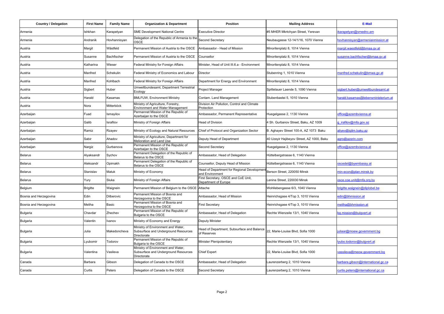| <b>Country / Delegation</b> | <b>First Name</b> | <b>Family Name</b> | <b>Organization &amp; Department</b>                                                      | <b>Position</b>                                               | <b>Mailing Address</b>                    | E-Mail                             |
|-----------------------------|-------------------|--------------------|-------------------------------------------------------------------------------------------|---------------------------------------------------------------|-------------------------------------------|------------------------------------|
| Armenia                     | Ishkhan           | Karapetyan         | <b>SME Development National Centre</b>                                                    | <b>Executive Director</b>                                     | #5 MHER Mkrtchyan Street, Yerevan         | carapetyan@smednc.am               |
| Armenia                     | Andranik          | Hovhannisyan       | Delegation of the Republic of Armenia to the<br>OSCE                                      | Second Secretary                                              | Neubaugasse 12-14/1/16, 1070 Vienna       | ovhannisvan@armenianmission.at     |
| Austria                     | Margit            | Wästfeld           | Permanent Mission of Austria to the OSCE                                                  | Ambassador - Head of Mission                                  | Minoritenplatz 8, 1014 Vienna             | margit.waestfeld@bmaa.gv.at        |
| Austria                     | Susanne           | Bachfischer        | Permanent Mission of Austria to the OSCE                                                  | Counsellor                                                    | Minoritenplatz 8, 1014 Vienna             | usanne.bachfischer@bmaa.gv.at      |
| Austria                     | Katharina         | Wieser             | Federal Ministry for Foreign Affairs                                                      | Minister, Head of Unit III.6.a - Environment                  | Minoritenplatz 8, 1014 Vienna             |                                    |
| Austria                     | Manfred           | Schekulin          | Federal Ministry of Economics and Labour                                                  | <b>Director</b>                                               | Stubenring 1, 1010 Vienna                 | nanfred.schekulin@bmwa.qv.at       |
| Austria                     | Manfred           | Kohlbach           | Federal Ministry for Foreign Affairs                                                      | Department for Energy and Environment                         | Minoritenplatz 8, 1014 Vienna             |                                    |
| Austria                     | Sigbert           | Huber              | Umweltbundesamt, Department Terrestrial<br>Ecology                                        | Project Manager                                               | Spittelauer Laende 5, 1090 Vienna         | igbert.huber@umweltbundesamt.at    |
| Austria                     | Harald            | Kasamas            | <b>BMLFUW, Environment Ministry</b>                                                       | Contam. Land Management                                       | Stubenbastei 5, 1010 Vienna               | arald.kasamas@lebensministerium.at |
| Austria                     | Nora              | Mitterböck         | Ministry of Agriculture, Forestry,<br><b>Environment and Water Management</b>             | Division Air Pollution, Control and Climate<br>Protection     |                                           |                                    |
| Azerbaijan                  | Fuad              | smayilov           | Permannet Mission of the Republic of<br>Azerbaijan to the OSCE                            | Ambassador, Permanent Representative                          | Huegelgasse 2, 1130 Vienna                | office@azembvienna.at              |
| Azerbaijan                  | Galib             | srafilov           | Ministry of Foreign Affairs                                                               | Head of Division                                              | 4 Sh. Gurbanov Street, Baku, AZ 1009      | girafilov@mfa.gov.az               |
| Azerbaijan                  | Ramiz             | Rzayev             | Ministry of Ecology and Natural Resources                                                 | Chief of Protocol and Organization Sector                     | B. Aghayev Street 100-A, AZ 1073 Baku     | alivev@iglim.baku.az               |
| Azerbaijan                  | Sabir             | Ahadov             | Ministry of Agriculture, Department for<br>Melioration and Land Use                       | Deputy Head of Department                                     | 40 Uzeyir Hajibeyov Street, AZ 1000, Baku | agro@azerin.com                    |
| Azerbaijan                  | Nargiz            | Gurbanova          | Permanent Mission of the Republic of<br>Azerbaijan to the OSCE                            | Second Secretary                                              | Huegelgasse 2, 1130 Vienna                | office@azembvienna.at              |
| <b>Belarus</b>              | Alyaksandr        | Sychov             | Permanent Delegation of the Republic of<br>Belarus to the OSCE                            | Ambassador, Head of Delegation                                | Hüttelbergstrasse 6, 1140 Vienna          |                                    |
| Belarus                     | Aleksandr         | Opimakh            | Permanent Delegation of the Republic of<br>Belarus to the OSCE                            | Counsellor, Deputy Head of Mission                            | Hüttelbergstrasse 6, 1140 Vienna          | scedel@byembassy.at                |
| <b>Belarus</b>              | Stanislav         | Matuk              | Ministry of Economy                                                                       | Head of Department for Regional Developmen<br>and Environment | Berson Street, 220050 Minsk               | nin-econ@plan.minsk.bv             |
| <b>Belarus</b>              | Yury              | Sluka              | Ministry of Foreign Affairs                                                               | First Secretary, OSCE and CoE Unit,<br>Department of Europe   | enina Street, 220030 Minsk                | sce.coe.unit@mfa.org.by            |
| Belgium                     | <b>Brigitte</b>   | Waignein           | Permanent Mission of Belgium to the OSCE Attache                                          |                                                               | Wohllebengasse 6/3, 1040 Vienna           | rigitte.wajgnein@diplobel.be       |
| Bosnia and Herzegovina      | Edin              | <b>Dilberovic</b>  | Permanent Mission of Bosnia and<br>Herzegovina to the OSCE                                | Ambassador, Head of Mission                                   | Heinrichsgase 4/Top 3, 1010 Vienna        | edin@bhmission.at                  |
| Bosnia and Herzegovina      | Meliha            | Basic              | Permanent Mission of Bosnia and<br>Herzegovina to the OSCE                                | <b>First Secretary</b>                                        | Heinrichsgase 4/Top 3, 1010 Vienna        | neliha@bhmission.at                |
| <b>Bulgaria</b>             | Chavdar           | Zhechev            | Permanent Mission of the Republic of<br>Bulgaria to the OSCE                              | Ambassador, Head of Delegation                                | Rechte Wienzeile 13/1, 1040 Vienna        | bg.mission@bulgvert.at             |
| Bulgaria                    | Valentin          | Ivanov             | Ministry of Economy and Energy                                                            | Deputy Minister                                               |                                           |                                    |
| Bulgaria                    | Julia             | Makedoncheva       | Ministry of Environment and Water,<br>Subsurface and Underground Resources<br>Directorate | Head of Department, Subsurface and Balance<br>of Reserves     | 22, Marie-Louise Blvd, Sofia 1000         | uliaar@moew.government.bg          |
| Bulgaria                    | .yubomir          | Todorov            | Permanent Mission of the Republic of<br>Bulgaria to the OSCE                              | Minister Plenipotentiary                                      | Rechte Wienzeile 13/1, 1040 Vienna        | yubo.todorov@bulqvert.at           |
| Bulgaria                    | Valentina         | Vasileva           | Ministry of Environment and Water,<br>Subsurface and Underground Resources<br>Directorate | <b>Chief Expert</b>                                           | 22, Marie-Louise Blvd, Sofia 1000         | vassileva@meow.government.bg       |
| Canada                      | Barbara           | Gibson             | Delegation of Canada to the OSCE                                                          | Ambassador, Head of Delegation                                | aurenzerberg 2, 1010 Vienna               | arbara.gibson@international.gc.ca  |
| Canada                      | Curtis            | Peters             | Delegation of Canada to the OSCE                                                          | Second Secretary                                              | Laurenzerberg 2, 1010 Vienna              | purtis.peters@international.gc.ca  |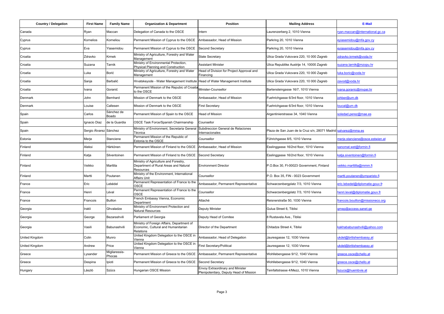| <b>Country / Delegation</b> | <b>First Name</b>      | <b>Family Name</b>      | <b>Organization &amp; Department</b>                                                           | <b>Position</b>                                                             | <b>Mailing Address</b>                                         | E-Mail                          |
|-----------------------------|------------------------|-------------------------|------------------------------------------------------------------------------------------------|-----------------------------------------------------------------------------|----------------------------------------------------------------|---------------------------------|
| Canada                      | Ryan                   | Maccan                  | Delegation of Canada to the OSCE                                                               | Intern                                                                      | Laurenzerberg 2, 1010 Vienna                                   | van.maccan@international.gc.ca  |
| Cyprus                      | Kornelios              | Korneliou               | Permanent Mission of Cyprus to the OSCE                                                        | Ambassador, Head of Mission                                                 | Parkring 20, 1010 Vienna                                       | eyiasemidou@mfa.gov.cy          |
| Cyprus                      | Eva                    | Yiasemidou              | Permanent Mission of Cyprus to the OSCE                                                        | Second Secretary                                                            | Parkring 20, 1010 Vienna                                       | eyiasemidou@mfa.gov.cy          |
| Croatia                     | Zdravko                | Krmek                   | Ministry of Agriculture, Forestry and Water<br>Management                                      | State Secretary                                                             | Ulica Grada Vukovara 220, 10 000 Zagreb                        | zdravko.krmek@voda.hr           |
| Croatia                     | Suzana                 | Tarnik                  | Ministry of Environmental Protection,<br>Physical Planning and Construction                    | <b>Assistant Minister</b>                                                   | Ulica Republike Austrije 14, 10000 Zagreb                      | uzana.tarnik@mzopu.hr           |
| Croatia                     | Luka                   | Borić                   | Ministry of Agriculture, Forestry and Water<br>Management                                      | Head of Division for Project Approval and<br>Financing                      | Ulica Grada Vukovara 220, 10 000 Zagreb                        | uka.boric@voda.hr               |
| Croatia                     | Sanja                  | Barbalić                | Hrvatskeyode - Water Management Institute                                                      | Head of Water Management Institute                                          | Ulica Grada Vukovara 220, 10 000 Zagreb                        | zavod@voda.hr                   |
| Croatia                     | Ivana                  | Goranić                 | Permanent Mission of the Repubic of Croatia<br>to the OSCE                                     | Minister-Counsellor                                                         | Bartensteingasse 16/7, 1010 Vienna                             | vana.goranic@mypei.hr           |
| Denmark                     | John                   | Bernhard                | Mission of Denmark to the OSCE                                                                 | Ambassador, Head of Mission                                                 | Fuehrichgasse 6/3rd floor, 1010 Vienna                         | ohber@um.dk                     |
| Denmark                     | Louise                 | Callesen                | Mission of Denmark to the OSCE                                                                 | <b>First Secretary</b>                                                      | Fuehrichgasse 6/3rd floor, 1010 Vienna                         | oucal@um.dk                     |
| Spain                       | Carlos                 | Sánchez de<br>Boado     | Permanent Mission of Spain to the OSCE                                                         | <b>Head of Mission</b>                                                      | Argentinierstrasse 34, 1040 Vienna                             | oledad.perez@mae.es             |
| Spain                       | gnacio Diaz            | de la Guardia           | OSCE Task Force/Spanish Chairmanship                                                           | Counsellor                                                                  |                                                                |                                 |
| Spain                       | Sergio Álvarez Sánchez |                         | Ministry of Environment, Secretaria General<br>Técnica                                         | Subdireccion General de Relaciones<br>nternacionales                        | Plaza de San Juan de la Cruz s/n, 28071 Madrid salvarez@mma.es |                                 |
| Estonia                     | Merje                  | Stanciene               | Permanent Mission of the Republic of<br>Estonia to the OSCE                                    | Counsellor                                                                  | Führichgasse 8/5, 1010 Vienna                                  | merje.stanciene@osce.estwien.at |
| Finland                     | Aleksi                 | Härkönen                | Permanent Mission of Finland to the OSCE                                                       | Ambassador, Head of Mission                                                 | Esslinggasse 16/2nd floor, 1010 Vienna                         | anomat.wet@formin.fi            |
| Finland                     | Katja                  | Silventoinen            | Permanent Mission of Finland to the OSCE                                                       | Second Secretary                                                            | Esslinggasse 16/2nd floor, 1010 Vienna                         | catia.siventoinen@formin.fi     |
| Finland                     | Veikko                 | Marttila                | Ministry of Agriculture and Forestry,<br>Department of Rural Areas and Natural<br>Resources    | <b>Environment Director</b>                                                 | P.O.Box 30, FI-00023 Government, Finland                       | veikko.marttilla@mmm.fi         |
| Finland                     | Martti                 | Poutanen                | Ministry of the Environment, International<br>Affairs Unit                                     | Counsellor                                                                  | P.O. Box 35. FIN - 0023 Government                             | nartti.poutanen@ymparisto.fi    |
| France                      | Eric                   | _ebédel                 | Permanent Representation of France to the<br>OSCE                                              | Ambassador, Permanent Representative                                        | Schwarzenbergplatz 7/3, 1010 Vienna                            | eric.lebedel@diplomatie.gouv.fr |
| France                      | Henri                  | Léval                   | Permanent Representation of France to the<br>OSCE                                              | Counsellor                                                                  | Schwarzenbergplatz 7/3, 1010 Vienna                            | henri.leval@diplomatie.gouv.fr  |
| France                      | Francois               | <b>Buillon</b>          | French Embassy Vienna, Economic<br>Department                                                  | Attaché                                                                     | Reisnerstraße 50, 1030 Vienna                                  | rancois.bouillon@missioneco.org |
| Georgia                     | Irakli                 | Ghvaladze               | Ministry of Environment Protection and<br><b>Natural Resources</b>                             | Deputy Minister                                                             | Gulua Street 6, Tiblisi                                        | gmep@access.sanet.ge            |
| Georgia                     | George                 | Bezarashvili            | Parliament of Georgia                                                                          | Deputy Head of Comitee                                                      | 8 Rustavela Ave., Tiblisi                                      |                                 |
| Georgia                     | Vasili                 | Babunashvili            | Ministry of Foreign Affairs, Department of<br>Economic, Cultural and Humanitarian<br>Relations | Director of the Department                                                  | Chitadze Street 4, Tiblisi                                     | akhababunashvili@yahoo.com      |
| United Kingdom              | Colin                  | Munro                   | United Kingdom Delegation to the OSCE in<br>Vienna                                             | Ambassador, Head of Delegation                                              | Jauresgasse 12, 1030 Vienna                                    | ikdel@britishembassy.at         |
| <b>United Kingdom</b>       | Andrew                 | Price                   | United Kingdom Delegation to the OSCE in<br>Vienna                                             | <b>First Secretary/Political</b>                                            | Jauresgasse 12, 1030 Vienna                                    | ukdel@britishembassy.at         |
| Greece                      | ysander                | Migliaressis-<br>Phocas | Permanent Mission of Greece to the OSCE                                                        | Ambassador, Permanent Representative                                        | Wohllebengasse 9/12, 1040 Vienna                               | greece.osce@chello.at           |
| Greece                      | Despina                | Ipioti                  | Permanent Mission of Greece to the OSCE                                                        | <b>Second Secretary</b>                                                     | Wohllebengasse 9/12, 1040 Vienna                               | rreece.osce@chello.at           |
| Hungary                     | ászló                  | Szücs                   | Hungarian OSCE Mission                                                                         | Envoy Extraordinary and Minister<br>Plenipotentiary, Deputy Head of Mission | Teinfaltstrasse 4/Mezz, 1010 Vienna                            | szucs@huembvie.at               |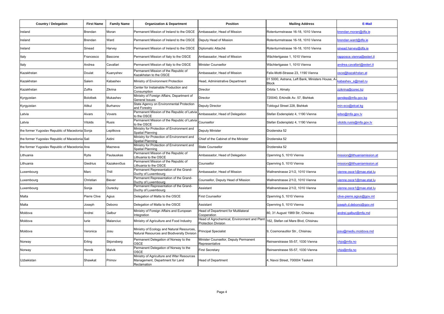| <b>Country / Delegation</b>                     | <b>First Name</b> | <b>Family Name</b> | <b>Organization &amp; Department</b>                                                         | Position                                                                  | <b>Mailing Address</b>                                          | <b>E-Mail</b>               |
|-------------------------------------------------|-------------------|--------------------|----------------------------------------------------------------------------------------------|---------------------------------------------------------------------------|-----------------------------------------------------------------|-----------------------------|
| Ireland                                         | Brendan           | Moran              | Permanent Mission of Ireland to the OSCE                                                     | Ambassador, Head of Mission                                               | Rotenturmstrasse 16-18, 1010 Vienna                             | orendan.moran@dfa.ie        |
| Ireland                                         | Brendan           | Ward               | Permanent Mission of Ireland to the OSCE                                                     | Deputy Head of Mission                                                    | Rotenturmstrasse 16-18, 1010 Vienna                             | orendan.ward@dfa.ie         |
| Ireland                                         | Sinead            | Harvey             | Permanent Mission of Ireland to the OSCE                                                     | Diplomatic Attaché                                                        | Rotenturmstrasse 16-18, 1010 Vienna                             | sinead.harvey@dfa.ie        |
| Italy                                           | Francesco         | Bascone            | Permanent Mission of Italy to the OSCE                                                       | Ambassador, Head of Mission                                               | Wächtertgasse 1, 1010 Vienna                                    | rapposce.vienna@esteri.it   |
| Italy                                           | Andrea            | Cavallari          | Permanent Mission of Italy to the OSCE                                                       | Minister Counsellor                                                       | Wächtertgasse 1, 1010 Vienna                                    | andrea.cavallari@esteri.it  |
| Kazakhstan                                      | Doulat            | Kuanyshev          | Permanent Mission of the Republic of<br>Kazakhstan to the OSCE                               | Ambassador, Head of Mission                                               | Felix-Mottl-Strasse 23, 1190 Vienna                             | sce@kazakhstan.at           |
| Kazakhstan                                      | Salem             | Kabashev           | Ministry of Environment Protection                                                           | Head, Administrative Department                                           | 01 5000, Astrana, Left Bank, Ministers House, A<br><b>Block</b> | abashev s@mail.ru           |
| Kazakhstan                                      | Zulfra            | Zikrina            | Center for Instainable Production and<br>Consumption                                         | Director                                                                  | Orbita 1, Almaty                                                | zzikrina@corec.kz           |
| Kyrgyzstan                                      | <b>Bolotbek</b>   | Mukashev           | Ministry of Foreign Affairs, Department of<br>General Issues                                 | Director                                                                  | 720040, Erkindik Av. 57, Bishkek                                | gendep@mfa.gov.kg           |
| Kyrgyzstan                                      | Aitkul            | Burhanov           | State Agency on Environmental Protection<br>and Forestry                                     | Deputy Director                                                           | Toktogul Street 228, Bishkek                                    | min-eco@elcat.kg            |
| Latvia                                          | Aivars            | Vovers             | Permanent Mission of the Republic of Latvia<br>to the OSCE                                   | Ambassador, Head of Delegation                                            | Stefan Esdersplatz 4, 1190 Vienna                               | edso@mfa.gov.lv             |
| Latvia                                          | Vitolds           | Rusis              | Permanent Mission of the Republic of Latvia<br>to the OSCE                                   | Counsellor                                                                | Stefan Esdersplatz 4, 1190 Vienna                               | vitolds.rusis@mfa.gov.lv    |
| the former Yugoslav Republic of Macedonia Sonja |                   | Lepitkova          | Ministry for Protection of Environment and<br>Spatial Planning                               | Deputy Minister                                                           | Drzdenska 52                                                    |                             |
| the former Yugoslav Republic of Macedonia Sali  |                   | Aidini             | Ministry for Protection of Environment and<br>Spatial Planning                               | Chief of the Cabinet of the Minister                                      | Drzdenska 52                                                    |                             |
| the former Yugoslav Republic of Macedonia Ana   |                   | Mazneva            | Ministry for Protection of Environment and<br>Spatial Planning                               | <b>State Counsellor</b>                                                   | Drzdenska 52                                                    |                             |
| Lithuania                                       | Rytis             | Paulauskas         | Permanent Mission of the Republic of<br>lithuania to the OSCE                                | Ambassador, Head of Delegation                                            | Opernring 5, 1010 Vienna                                        | mission@lithuaniamission.at |
| Lithuania                                       | Giedrius          | Kazakevičius       | Permanent Mission of the Republic of<br>Lithuania to the OSCE                                | Counsellor                                                                | Opernring 5, 1010 Vienna                                        | mission@lithuaniamission.at |
| Luxembourg                                      | Marc              | Thill              | Permanent Representation of the Grand-<br>Duchy of Luxembourg                                | Ambassador, Head of Mission                                               | Wallnerstrasse 2/1/2, 1010 Vienna                               | vienne.osce1@mae.etat.lu    |
| Luxembourg                                      | Christian         | <b>Biever</b>      | Permanent Representation of the Grand-<br>Duchy of Luxembourg                                | Counsellor, Deputy Head of Mission                                        | Wallnerstrasse 2/1/2, 1010 Vienna                               | vienne.osce1@mae.etat.lu    |
| Luxembourg                                      | Sonja             | Ourecky            | Permanent Representation of the Grand-<br>Duchy of Luxembourg                                | Assistant                                                                 | Wallnerstrasse 2/1/2, 1010 Vienna                               | vienne.osce1@mae.etat.lu    |
| Malta                                           | Pierre Clive      | Agius              | Delegation of Malta to the OSCE                                                              | <b>First Counsellor</b>                                                   | Opernring 5, 1010 Vienna                                        | clive-pierre.agius@gov.mt   |
| Malta                                           | Joseph            | Debono             | Delegation of Malta to the OSCE                                                              | Assistant                                                                 | Opernring 5, 1010 Vienna                                        | oseph.d.debono@gov.mt       |
| Moldova                                         | Andrei            | Galbur             | Ministry of Foreign Affairs and European<br>Integration                                      | Head of Department for Multilateral<br>Cooperation                        | 80, 31 August 1989 Str, Chisinau                                | andrei.galbur@mfa.md        |
| Moldova                                         | lurie             | Malanciuc          | Ministry of Agriculture and Food Industry                                                    | Head of Agrochemical, Environment and Plant<br><b>Protection Division</b> | 162, Stefan cel Mare Blvd, Chisinau                             |                             |
| Moldova                                         | Veronica          | Josu               | Ministry of Ecology and Natural Resources,<br>Natural Resources and Biodiversity Division    | <b>Principal Specialist</b>                                               | 9, Cosmonautilor Str., Chisinau                                 | osu@mediu.moldova.md        |
| Norway                                          | Erling            | Skjonsberg         | Permanent Delegation of Norway to the<br>OSCE                                                | Minister Counsellor, Deputy Permanent<br>Representative                   | Reinserstrasse 55-57, 1030 Vienna                               | chjo@mfa.no                 |
| Norway                                          | Henrik            | Malvik             | Permanent Delegation of Norway to the<br>OSCE                                                | <b>First Secretary</b>                                                    | Reinserstrasse 55-57, 1030 Vienna                               | chjo@mfa.no                 |
| Uzbekistan                                      | Shawkat           | Primov             | Ministry of Agriculture and Wter Resources<br>Management, Department for Land<br>Reclamation | <b>Head of Department</b>                                                 | 4. Navoi Street, 700004 Taskent                                 |                             |
|                                                 |                   |                    |                                                                                              |                                                                           |                                                                 |                             |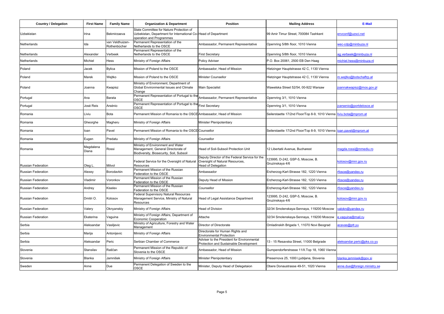| <b>Country / Delegation</b> | <b>First Name</b>  | <b>Family Name</b>              | <b>Organization &amp; Department</b>                                                                                                   | <b>Position</b>                                                                                                | <b>Mailing Address</b>                                              | E-Mail                       |
|-----------------------------|--------------------|---------------------------------|----------------------------------------------------------------------------------------------------------------------------------------|----------------------------------------------------------------------------------------------------------------|---------------------------------------------------------------------|------------------------------|
| Uzbekistan                  | Irina              | Bekmirzaeva                     | State Committee for Nature Protection of<br>Uzbekistan, Department for International Co-Head of Department<br>operation and Programmes |                                                                                                                | 99 Amir Timur Street, 700084 Tashkent                               | envconf@uzsci.net            |
| Netherlands                 | Ida                | van Veldhuizen-<br>Rothenbücher | Permanent Representation of the<br>Netherlands to the OSCE                                                                             | Ambassador, Permanent Representative                                                                           | Opernring 5/8th floor, 1010 Vienna                                  | wec-cdp@minbuza.nl           |
| Netherlands                 | Alexander          | Verbeek                         | Permanent Representation of the<br>Netherlands to the OSCE                                                                             | <b>First Secretary</b>                                                                                         | Opernring 5/8th floor, 1010 Vienna                                  | ag.verbeek@minbuza.nl        |
| Netherlands                 | Michiel            | Hess                            | Ministry of Foreign Affairs                                                                                                            | Policy Adviser                                                                                                 | P.O. Box 20061, 2500 EB Den Haag                                    | michiel.hess@minbuza.nl      |
| Poland                      | Jacek              | <b>Bylica</b>                   | Mission of Poland to the OSCE                                                                                                          | Ambassador, Head of Mission                                                                                    | Hietzinger Hauptstrasse 42 C, 1130 Vienna                           |                              |
| Poland                      | Marek              | Wejtko                          | Mission of Poland to the OSCE                                                                                                          | Minister Counsellor                                                                                            | Hietzinger Hauptstrasse 42 C, 1130 Vienna                           | m.wejtko@botschaftrp.at      |
| Poland                      | Joanna             | Kwapisz                         | Ministry of Environment, Department of<br>Global Environmental Issues and Climate<br>Change                                            | <b>Main Specialist</b>                                                                                         | Wawelska Street 52/54, 00-922 Warsaw                                | pannakwapisz@mos.gov.pl      |
| Portugal                    | Ana                | Barata                          | Permanent Representation of Portugal to the<br>OSCE                                                                                    | Ambassador, Permanent Representative                                                                           | Opernring 3/1, 1010 Vienna                                          |                              |
| Portugal                    | José Reis          | Arsénio                         | Permanent Representation of Portugal to the<br>OSCE                                                                                    | <b>First Secretary</b>                                                                                         | Opernring 3/1, 1010 Vienna                                          | carsenio@portdelosce.at      |
| Romania                     | Liviu              | Bota                            | Permanent Mission of Romania to the OSCE Ambassador, Head of Mission                                                                   |                                                                                                                | Seilerstaette 17/2nd Floor/Top 8-9, 1010 Vienna liviu.bota@mprom.at |                              |
| Romania                     | Gheorghe           | Magheru                         | Ministry of Foreign Affairs                                                                                                            | Minister Plenipotentiary                                                                                       |                                                                     |                              |
| Romania                     | loan               | Pavel                           | Permanent Mission of Romania to the OSCE Counsellor                                                                                    |                                                                                                                | Seilerstaette 17/2nd Floor/Top 8-9, 1010 Vienna loan.pavel@mprom.at |                              |
| Romania                     | Eugen              | Predatu                         | Ministry of Foreign Affairs                                                                                                            | Counsellor                                                                                                     |                                                                     |                              |
| Romania                     | Magdalena<br>Diana | Rossi                           | Ministry of Environment and Water<br>Management, General Directorate of<br>Biodiversity, Biosecurity, Soil, Subsoil                    | Head of Soil-Subsoil Protection Unit                                                                           | 12 Libertatii Avenue. Bucharest                                     | magda.rossi@mmediu.ro        |
| <b>Russian Federation</b>   | Oleg L.            | Mitvol                          | Federal Service for the Oversight of Natural<br>Resources                                                                              | Deputy Director of the Federal Service for the<br>Oversight of Natural Resources,<br><b>Head of Delegation</b> | 123995, D-242, GSP-5, Moscow, B.<br>Gruzinskaya 4/6                 | kolosov@mnr.gov.ru           |
| Russian Federation          | Alexey             | Borodavkin                      | Permanent Mission of the Russian<br>Federation to the OSCE                                                                             | Ambassador                                                                                                     | Erzherzog-Karl-Strasse 182, 1220 Vienna                             | fosce@vandex.ru              |
| Russian Federation          | Vladimir           | Voronkov                        | Permanent Mission of the Russian<br>Federation to the OSCE                                                                             | Deputy Head of Mission                                                                                         | Erzherzog-Karl-Strasse 182, 1220 Vienna                             | rfosce@yandex.ru             |
| Russian Federation          | Andrey             | Kiselev                         | Permanent Mission of the Russian<br>Federation to the OSCE                                                                             | Counsellor                                                                                                     | Erzherzog-Karl-Strasse 182, 1220 Vienna                             | rfosce@yandex.ru             |
| Russian Federation          | Dmitri O.          | Kolosov                         | Federal Supervisory Natural Resources<br>Management Service, Ministry of Natural<br>Resources                                          | Head of Legal Assistance Department                                                                            | 123995, D-242, GSP-5, Moscow, B.<br>Gruzinskaya 4/6                 | kolosov@mnr.gov.ru           |
| Russian Federation          | Valery             | Oknyanskiy                      | Ministry of Foreign Affairs                                                                                                            | Head of Division                                                                                               | 32/34 Smolenskaya-Sennaya, 119200 Moscow                            | alokn@yandex.ru              |
| Russian Federation          | Ekaterina          | Vaguina                         | Ministry of Foreign Affairs, Department of<br>Economic Cooperation                                                                     | Attache                                                                                                        | 32/34 Smolenskaya-Sennaya, 119200 Moscow                            | e.vaguina@mail.ru            |
| Serbia                      | Aleksandar         | Vasiljevic                      | Ministry of Agriculture, Forestry and Water<br>Management                                                                              | Director of Directorate                                                                                        | Omladinskih Brigada 1, 11070 Novi Beograd                           | cavas@ptt.yu                 |
| Serbia                      | Marija             | Antonijevic                     | Ministry of Foreign Affairs                                                                                                            | Directorate for Human Rights and<br><b>Environmental Protection</b>                                            |                                                                     |                              |
| Serbia                      | Aleksandar         | Peric                           | Serbian Chamber of Commerce                                                                                                            | Adviser to the President for Environmental<br>Protection and Sustainable Development                           | 13 - 15 Resavska Street, 11000 Belgrade                             | aleksandar.peric@pks.co.vu   |
| Slovenia                    | Stansilav          | Raščan                          | Permanent Mission of the Republic of<br>Slovenia to the OSCE                                                                           | Ambassador, Head of Mission                                                                                    | Gumpendorferstrasse 11/II. Top 18, 1060 Vienna                      |                              |
| Slovenia                    | Blanka             | Jamnišek                        | Ministry of Foreign Affairs                                                                                                            | Minister Plenipotentiary                                                                                       | Presernova 25, 1000 Ljubljana, Slovenia                             | blanka.jamnisek@gov.si       |
| Sweden                      | Anne               | Due                             | Permanent Delegation of Sweden to the<br>OSCE                                                                                          | Minister, Deputy Head of Delegetaion                                                                           | Obere Donaustrasse 49-51, 1020 Vienna                               | anne.due@foreign.ministry.se |
|                             |                    |                                 |                                                                                                                                        |                                                                                                                |                                                                     |                              |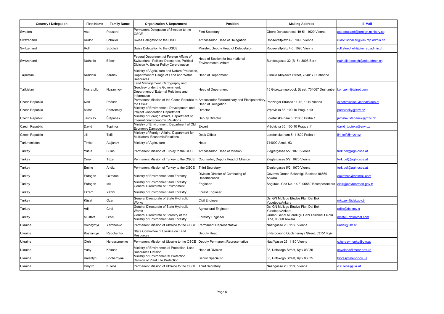| <b>Country / Delegation</b> | <b>First Name</b> | <b>Family Name</b> | <b>Organization &amp; Department</b>                                                                                                 | <b>Position</b>                                                                                                      | <b>Mailing Address</b>                                            | E-Mail                          |
|-----------------------------|-------------------|--------------------|--------------------------------------------------------------------------------------------------------------------------------------|----------------------------------------------------------------------------------------------------------------------|-------------------------------------------------------------------|---------------------------------|
| Sweden                      | Åsa               | Pousard            | Permanent Delegation of Sweden to the<br>OSCE                                                                                        | <b>First Secretary</b>                                                                                               | Obere Donaustrasse 49-51, 1020 Vienna                             | sa.pousard@foreign.ministry.se  |
| Switzerland                 | Rudolf            | Schaller           | Swiss Delegation to the OSCE                                                                                                         | Ambassador, Head of Delegation                                                                                       | Rooseveltplatz 4-5, 1090 Vienna                                   | udolf.schaller@vim.rep.admin.ch |
| Switzerland                 | Rolf              | Stücheli           | Swiss Delegation to the OSCE                                                                                                         | Minister, Deputy Head of Delegetaion                                                                                 | Rooseveltplatz 4-5, 1090 Vienna                                   | rolf.stuecheli@vim.rep.admin.ch |
| Switzerland                 | Nathalie          | Bösch              | Federal Department of Foreign Affairs of<br>Switzerland, Political Directorate, Political<br>Division V, Sector Policy Co-ordination | lead of Section for International<br><b>Environmental Affairs</b>                                                    | Bundesgasse 32 (B15), 3003 Bern                                   | nathalie.boesch@eda.admin.ch    |
| Tajikistan                  | <b>Nuriddin</b>   | Zardiev            | Ministry of Agriculture and Nature Protection<br>Department of Usage of Land and Water<br>Resources                                  | <b>Head of Department</b>                                                                                            | Zikrullo Khojaeva Street, 734017 Dushanbe                         |                                 |
| Tajikistan                  | Nusratullo        | Nozaninov          | Land Management, Cartography and<br>Geodesy under the Government,<br>Department of External Relations and<br>Information             | <b>Head of Department</b>                                                                                            | 15 Giprozemgorodok Street, 734067 Dushanbe                        | comzem@tajnet.com               |
| Czech Republic              | Ivan              | Počuch             | the OSCE                                                                                                                             | Permanent Mission of the Czech Republic to Ambassador Extraordinary and Plenipotentiary<br><b>Head of Delegation</b> | Penzinger Strasse 11-12, 1140 Vienna                              | czechmission.vienna@aon.at      |
| <b>Czech Republic</b>       | Michal            | Pastvinský         | Ministry of Environment, Development and<br><b>Project Cooperation Department</b>                                                    | Director                                                                                                             | Vrêdvická 65, 100 10 Prague 10                                    | bastvinsky@env.cz               |
| <b>Czech Republic</b>       | Jaroslav          | Štěpánek           | Ministry of Foreign Affairs, Department of<br>International Economic Relations                                                       | Deputy Director                                                                                                      | Loretanske nam.5, 11800 Praha 1                                   | aroslav.stepanek@mzv.cz         |
| Czech Republic              | David             | Topinka            | Ministry of Environment, Department of Old<br>Economic Damages                                                                       | Expert                                                                                                               | Vrêdvická 65, 100 10 Prague 11                                    | david topinka@env.cz            |
| Czech Republic              | Jiří              | Toifl              | Ministry of Foreign Affairs, Department for<br>Multilateral Economic Relations                                                       | Desk Officer                                                                                                         | Loretanske nam.5, 11800 Praha 1                                   | iri toifl@mzv.cz                |
| Turkmenistan                | Tirkish           | Atajanov           | Ministry of Agriculture                                                                                                              | Head                                                                                                                 | 744000 Azadi, 63                                                  |                                 |
| Turkey                      | Yusuf             | Buluc              | Permanent Mission of Turkey to the OSCE                                                                                              | Ambassador, Head of Mission                                                                                          | Zieglergasse 5/2, 1070 Vienna                                     | urk.del@agit-osce.at            |
| Turkey                      | Ömer              | Tüzel              | Permanent Mission of Turkey to the OSCE                                                                                              | Counsellor, Deputy Head of Mission                                                                                   | Zieglergasse 5/2, 1070 Vienna                                     | urk.del@agit-osce.at            |
| Turkey                      | Emine             | Andiz              | Permanent Mission of Turkey to the OSCE                                                                                              | <b>Third Secretary</b>                                                                                               | Zieglergasse 5/2, 1070 Vienna                                     | urk.del@agit-osce.at            |
| Turkey                      | Erdogan           | Ozevren            | Ministry of Environment and Forestry                                                                                                 | Division Director of Combating of<br>Desertification                                                                 | Cevreve Orman Bakantigi, Bestepe 06560<br>Ankara                  | eozevren@hotmail.com            |
| Turkey                      | Erdogan           | Isik               | Ministry of Environment and Forestry,<br>General Directorate of Environment                                                          | Engineer                                                                                                             | Sogutozu Cad No. 14/E, 06560 Bestepe/Ankara                       | eisik@cevreorman.gov.tr         |
| Turkey                      | Ekrem             | Yazici             | Ministry of Environment and Forestry                                                                                                 | Forest Engineer                                                                                                      |                                                                   |                                 |
| Turkey                      | Küsat             | Özen               | General Directorate of State Hydraulic<br>Works                                                                                      | Civil Engineer                                                                                                       | Dsi GN Mu'lugu Etudve Plan Dai Bsk.<br>Yucetepe/Ankara            | nkozen@dsi.gov.tr               |
| Turkey                      | Adil              | Cirdi              | General Directorate of State Hydraulic<br>Works                                                                                      | Agricultural Engineer                                                                                                | Dsi GN Mu'lugu Etudve Plan Dai Bsk.<br>Yucetepe/Ankara            | adilc@dsi.gov.tr                |
| Turkey                      | Mustafa           | Ciftci             | General Directorate of Forestry of the<br>Ministry of Environment and Forestry                                                       | <b>Forestry Engineer</b>                                                                                             | Orman Genel Mudurlugu Gazi Tesisleri 1 Nolu<br>Bina, 06560 Ankara | nciftci07@mynet.com             |
| Ukraine                     | Volodymyr         | Yel'chenko         | Permanent Mission of Ukraine to the OSCE Permanent Representative                                                                    |                                                                                                                      | Naaffgasse 23, 1180 Vienna                                        | uadel@ukr.at                    |
| Ukraine                     | Kostiantyn        | Radchenko          | State Committee of Ukraine on Land<br>Resources                                                                                      | Deputy Head                                                                                                          | 3 Narodnoho Opolchennya Street, 03151 Kyiv                        |                                 |
| Ukraine                     | Oleh              | Herassymenko       | Permanent Mission of Ukraine to the OSCE                                                                                             | Deputy Permanent Representative                                                                                      | Naaffgasse 23, 1180 Vienna                                        | o.herasymenko@ukr.at            |
| Ukraine                     | Yuriy             | Kolmaz             | Ministry of Environmental Protection, Land<br>Resources Division                                                                     | <b>Head of Division</b>                                                                                              | 35, Uritskogo Street, Kyiv 03035                                  | saveland@menr.gov.ua            |
| Ukraine                     | Valentyn          | Shcherbyna         | Ministry of Environmental Protection,<br>Division of Plant Life Protection                                                           | Senior Specialist                                                                                                    | 35, Uritskogo Street, Kyiv 03035                                  | biores@menr.gov.ua              |
| Ukraine                     | Dmytro            | Kuleba             | Permanent Mission of Ukraine to the OSCE Third Secretary                                                                             |                                                                                                                      | Naaffgasse 23, 1180 Vienna                                        | d.kuleba@ukr.at                 |
|                             |                   |                    |                                                                                                                                      |                                                                                                                      |                                                                   |                                 |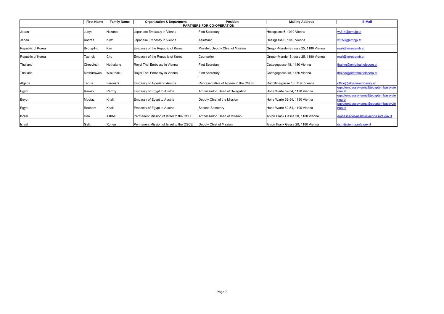|                                  | <b>First Name</b> | <b>Family Name</b> | <b>Organization &amp; Department</b>    | <b>Position</b>                       | <b>Mailing Address</b>                | E-Mail                                       |  |  |
|----------------------------------|-------------------|--------------------|-----------------------------------------|---------------------------------------|---------------------------------------|----------------------------------------------|--|--|
| <b>PARTNERS FOR CO-OPERATION</b> |                   |                    |                                         |                                       |                                       |                                              |  |  |
| Japan                            | Junya             | Nakano             | Japanese Embassy in Vienna              | <b>First Secretary</b>                | Hessgasse 6, 1010 Vienna              | wi214@embjp.at                               |  |  |
| Japan                            | Andrea            | Kinz               | Japanese Embassy in Vienna              | Assistant                             | Hessgasse 6, 1010 Vienna              | wi253@embip.at                               |  |  |
| Republic of Korea                | Byung-Ho          | Kim                | Embassy of the Republic of Korea        | Minister, Deputy Chief of Mission     | Gregor-Mendel-Strasse 25, 1180 Vienna | mail@koreaemb.at                             |  |  |
| Republic of Korea                | Tae-Ick           | Cho                | Embassy of the Republic of Korea        | Counsellor                            | Gregor-Mendel-Strasse 25, 1180 Vienna | mail@koreaemb.at                             |  |  |
| Thailand                         | Cheevindh         | Nathalang          | Royal Thai Embassy in Vienna            | <b>First Secretary</b>                | Cottagegasse 48, 1180 Vienna          | thai.vn@embthai.telecom.at                   |  |  |
| Thailand                         | Mathurawee        | Wisuthakul         | Royal Thai Embassy in Vienna            | <b>First Secretary</b>                | Cottagegasse 48, 1180 Vienna          | thai.vn@embthai.telecom.at                   |  |  |
| Algeria                          | Taous             | Feroukhi           | Embassy of Algeria to Austria           | Representative of Algeria to the OSCE | Rudolfinergasse 18, 1190 Vienna       | office@algeria-embassy.at                    |  |  |
| Egypt                            | Ramzy             | Ramzy              | Embassy of Egypt to Austria             | Ambassador, Head of Delegation        | Hohe Warte 52-54, 1190 Vienna         | eqyptembassyvienna@eqyptembassyvie<br>nna.at |  |  |
| Egypt                            | Mootaz            | Khalil             | Embassy of Egypt to Austria             | Deputy Chief of the Mission           | Hohe Warte 52-54, 1190 Vienna         | eqyptembassyvienna@eqyptembassyvie<br>nna.at |  |  |
| Egypt                            | Reeham            | Khalil             | Embassy of Egypt to Austria             | Second Secretary                      | Hohe Warte 52-54, 1190 Vienna         | eqyptembassyvienna@eqyptembassyvie<br>nna.at |  |  |
| Israel                           | Dan               | Ashbel             | Permanent Mission of Israel to the OSCE | Ambassador, Head of Mission           | Anton Frank Gasse 20, 1180 Vienna     | ambassador-assist@vienna.mfa.gov.il          |  |  |
| <b>Israel</b>                    | Galit             | Ronen              | Permanent Mission of Israel to the OSCE | Deputy Chief of Mission               | Anton Frank Gasse 20, 1180 Vienna     | dcm@vienna.mfa.gov.il                        |  |  |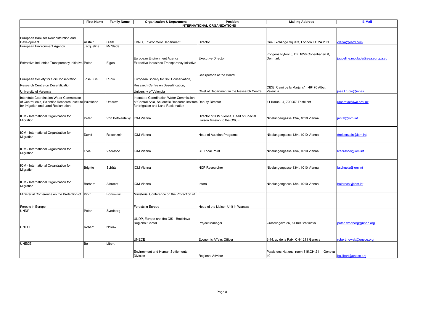|                                                                                                                                             | <b>First Name</b> | <b>Family Name</b> | <b>Organization &amp; Department</b>                                                                                                                     | <b>Position</b>                                                        | <b>Mailing Address</b>                                          | E-Mail                          |  |  |
|---------------------------------------------------------------------------------------------------------------------------------------------|-------------------|--------------------|----------------------------------------------------------------------------------------------------------------------------------------------------------|------------------------------------------------------------------------|-----------------------------------------------------------------|---------------------------------|--|--|
| <b>INTERNATIONAL ORGANIZATIONS</b>                                                                                                          |                   |                    |                                                                                                                                                          |                                                                        |                                                                 |                                 |  |  |
| European Bank for Reconstruction and                                                                                                        |                   |                    |                                                                                                                                                          |                                                                        |                                                                 |                                 |  |  |
| Development                                                                                                                                 | Alistair          | Clark              | EBRD, Environment Department                                                                                                                             | Director                                                               | One Exchange Square, London EC 2A 2JN                           | clarka@ebrd.com                 |  |  |
| European Environment Agency                                                                                                                 | Jacqueline        | McGlade            |                                                                                                                                                          |                                                                        |                                                                 |                                 |  |  |
|                                                                                                                                             |                   |                    | European Environment Agency                                                                                                                              | <b>Executive Director</b>                                              | Kongens Nytorv 6, DK 1050 Copenhagen K,<br>Denmark              | jaqueline.mcglade@eea.europa.eu |  |  |
| Extractive Industries Transparency Initiative Peter                                                                                         |                   | Eigen              | Extractive Industries Transparency Initiative                                                                                                            |                                                                        |                                                                 |                                 |  |  |
|                                                                                                                                             |                   |                    |                                                                                                                                                          | Chairperson of the Board                                               |                                                                 |                                 |  |  |
| European Society for Soil Conservation,                                                                                                     | Jose Luis         | Rubio              | European Society for Soil Conservation,                                                                                                                  |                                                                        |                                                                 |                                 |  |  |
| Research Centre on Desertification,                                                                                                         |                   |                    | Research Centre on Desertification,                                                                                                                      |                                                                        |                                                                 |                                 |  |  |
|                                                                                                                                             |                   |                    |                                                                                                                                                          |                                                                        | CIDE, Cami de la Marjal s/n, 46470 Albal,                       | jose.l.rubio@uv.es              |  |  |
| University of Valencia                                                                                                                      |                   |                    | University of Valencia                                                                                                                                   | Chief of Department in the Research Centre                             | Valencia                                                        |                                 |  |  |
| Interstate Coordination Water Commission<br>of Central Asia, Scientific Research Institute Pulatkhon<br>for Irrigation and Land Reclamation |                   | Umarov             | <b>Interstate Coordination Water Commission</b><br>of Central Asia, Scuentific Research Institute Deputy Director<br>for Irrigation and Land Reclamation |                                                                        | 11 Karasu-4, 700057 Tashkent                                    | umarovp@iwc-aral.uz             |  |  |
| IOM - International Organization for<br>Migration                                                                                           | Peter             | Von Bethlenfalvy   | <b>IOM Vienna</b>                                                                                                                                        | Director of IOM Vienna, Head of Special<br>Liaison Mission to the OSCE | Nibelungengasse 13/4, 1010 Vienna                               | jantal@jom.int                  |  |  |
| IOM - International Organization for<br>Migration                                                                                           | David             | Reisenzein         | <b>IOM Vienna</b>                                                                                                                                        | Head of Austrian Programs                                              | Nibelungengasse 13/4, 1010 Vienna                               | dreisenzein@iom.int             |  |  |
| IOM - International Organization for<br>Migration                                                                                           | Livia             | Vedrasco           | <b>IOM Vienna</b>                                                                                                                                        | <b>CT Focal Point</b>                                                  | Nibelungengasse 13/4, 1010 Vienna                               | lvedrasco@iom.int               |  |  |
| IOM - International Organization for<br>Migration                                                                                           | <b>Brigitte</b>   | Schütz             | <b>IOM Vienna</b>                                                                                                                                        | <b>NCP Researcher</b>                                                  | Nibelungengasse 13/4, 1010 Vienna                               | bschuetz@iom.int                |  |  |
| IOM - International Organization for<br>Migration                                                                                           | Barbara           | Albrecht           | <b>IOM Vienna</b>                                                                                                                                        | Intern                                                                 | Nibelungengasse 13/4, 1010 Vienna                               | balbrecht@iom.int               |  |  |
| Ministerial Conference on the Protection of                                                                                                 | Piotr             | Borkowski          | Ministerial Conference on the Protection of                                                                                                              |                                                                        |                                                                 |                                 |  |  |
| Forests in Europe                                                                                                                           |                   |                    | Forests in Europe                                                                                                                                        | Head of the Liaison Unit in Warsaw                                     |                                                                 |                                 |  |  |
| <b>UNDP</b>                                                                                                                                 | Peter             | Svedberg           |                                                                                                                                                          |                                                                        |                                                                 |                                 |  |  |
|                                                                                                                                             |                   |                    | UNDP, Europe and the CIS - Bratislava<br><b>Regional Center</b>                                                                                          | <b>Project Manager</b>                                                 | Grosslingova 35, 81109 Bratislava                               | peter.svedberg@undp.org         |  |  |
| <b>UNECE</b>                                                                                                                                | Robert            | Nowak              |                                                                                                                                                          |                                                                        |                                                                 |                                 |  |  |
|                                                                                                                                             |                   |                    | UNECE                                                                                                                                                    | Economic Affairs Officer                                               | 8-14, av de la Paix, CH-1211 Geneva                             | robert.nowak@unece.org          |  |  |
| <b>UNECE</b>                                                                                                                                | Bo                | Libert             |                                                                                                                                                          |                                                                        |                                                                 |                                 |  |  |
|                                                                                                                                             |                   |                    | <b>Environment and Human Settlements</b><br><b>Division</b>                                                                                              | <b>Regional Adviser</b>                                                | Palais des Nations, room 315, CH-2111 Geneva<br>10 <sup>1</sup> | bo.libert@unece.org             |  |  |
|                                                                                                                                             |                   |                    |                                                                                                                                                          |                                                                        |                                                                 |                                 |  |  |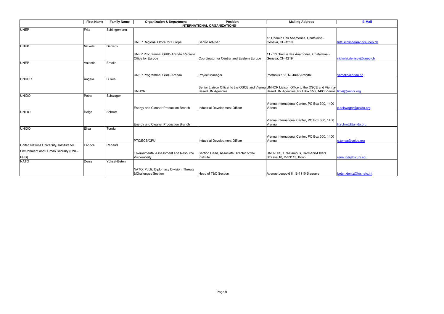|                                          | <b>First Name</b>                  | <b>Family Name</b> | <b>Organization &amp; Department</b>         | <b>Position</b>                            | <b>Mailing Address</b>                                                                     | E-Mail                     |  |  |  |  |
|------------------------------------------|------------------------------------|--------------------|----------------------------------------------|--------------------------------------------|--------------------------------------------------------------------------------------------|----------------------------|--|--|--|--|
|                                          | <b>INTERNATIONAL ORGANIZATIONS</b> |                    |                                              |                                            |                                                                                            |                            |  |  |  |  |
| <b>UNEP</b>                              | Frits                              | Schlingemann       |                                              |                                            |                                                                                            |                            |  |  |  |  |
|                                          |                                    |                    |                                              |                                            |                                                                                            |                            |  |  |  |  |
|                                          |                                    |                    |                                              | Senior Adviser                             | 15 Chemin Des Anemones, Chatelaine -                                                       | frits.schlingemann@unep.ch |  |  |  |  |
| <b>UNEP</b>                              | Nickolai                           | Denisov            | UNEP Regional Office for Europe              |                                            | Geneva, CH-1219                                                                            |                            |  |  |  |  |
|                                          |                                    |                    |                                              |                                            |                                                                                            |                            |  |  |  |  |
|                                          |                                    |                    | UNEP Programme, GRID-Arendal/Regional        |                                            | 11 - 13 chemin des Anemones, Chatelaine -                                                  |                            |  |  |  |  |
|                                          |                                    |                    | Office for Europe                            | Coordinator for Central and Eastern Europe | Geneva, CH-1219                                                                            | nickolai.denisov@unep.ch   |  |  |  |  |
| <b>UNEP</b>                              | Valentin                           | Emelin             |                                              |                                            |                                                                                            |                            |  |  |  |  |
|                                          |                                    |                    |                                              |                                            |                                                                                            |                            |  |  |  |  |
|                                          |                                    |                    |                                              |                                            |                                                                                            | vemelin@grida.no           |  |  |  |  |
| <b>UNHCR</b>                             | Angela                             | Li Rosi            | UNEP Programme, GRID-Arendal                 | <b>Project Manager</b>                     | Postboks 183, N-4802 Arendal                                                               |                            |  |  |  |  |
|                                          |                                    |                    |                                              |                                            |                                                                                            |                            |  |  |  |  |
|                                          |                                    |                    |                                              |                                            | Senior Liaison Officer to the OSCE and Vienna UNHCR Liaison Office to the OSCE and Vienna- |                            |  |  |  |  |
|                                          |                                    |                    | <b>UNHCR</b>                                 | <b>Based UN Agencies</b>                   | Based UN Agencies, P.O.Box 550, 1400 Vienna lirosi@unhcr.org                               |                            |  |  |  |  |
| <b>UNIDO</b>                             | Petra                              | Schwager           |                                              |                                            |                                                                                            |                            |  |  |  |  |
|                                          |                                    |                    |                                              |                                            |                                                                                            |                            |  |  |  |  |
|                                          |                                    |                    |                                              |                                            | Vienna International Center, PO Box 300, 1400                                              |                            |  |  |  |  |
| <b>UNIDO</b>                             | Helga                              | Schrott            | Energy and Cleaner Production Branch         | Industrial Development Officer             | Vienna                                                                                     | p.schwager@unido.org       |  |  |  |  |
|                                          |                                    |                    |                                              |                                            |                                                                                            |                            |  |  |  |  |
|                                          |                                    |                    |                                              |                                            | Vienna International Center, PO Box 300, 1400                                              |                            |  |  |  |  |
|                                          |                                    |                    | Energy and Cleaner Production Branch         |                                            | Vienna                                                                                     | h.schrott@unido.org        |  |  |  |  |
| <b>UNIDO</b>                             | Elisa                              | Tonda              |                                              |                                            |                                                                                            |                            |  |  |  |  |
|                                          |                                    |                    |                                              |                                            |                                                                                            |                            |  |  |  |  |
|                                          |                                    |                    |                                              |                                            | Vienna International Center, PO Box 300, 1400                                              |                            |  |  |  |  |
| United Nations University, Institute for | Fabrice                            | Renaud             | PTC/ECB/CPU                                  | Industrial Development Officer             | Vienna                                                                                     | e.tonda@unido.org          |  |  |  |  |
|                                          |                                    |                    |                                              |                                            |                                                                                            |                            |  |  |  |  |
| Environment and Human Security (UNU-     |                                    |                    | <b>Environmental Assessment and Resource</b> | Section Head, Associate Director of the    | UNU-EHS, UN-Campus, Hermann-Ehlers                                                         |                            |  |  |  |  |
| EHS)                                     |                                    |                    | Vulnerability                                | Institute                                  | Strasse 10, D-53113, Bonn                                                                  | renaud@ehs.uni.edu         |  |  |  |  |
| <b>NATO</b>                              | Deniz                              | Yüksel-Beten       |                                              |                                            |                                                                                            |                            |  |  |  |  |
|                                          |                                    |                    |                                              |                                            |                                                                                            |                            |  |  |  |  |
|                                          |                                    |                    | NATO, Public Diplomacy Division, Threats     |                                            |                                                                                            |                            |  |  |  |  |
|                                          |                                    |                    | &Challenges Section                          | Head of T&C Section                        | Avenue Leopold III, B-1110 Brussels                                                        | beten.deniz@hq.nato.int    |  |  |  |  |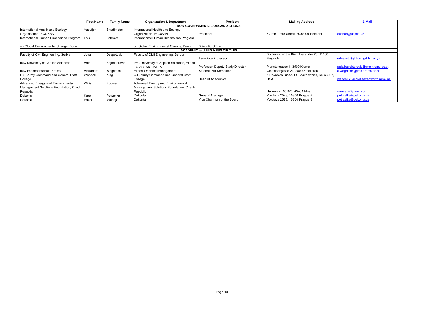|                                        | <b>First Name</b> | <b>Family Name</b> | <b>Organization &amp; Department</b>       | <b>Position</b>                       | <b>Mailing Address</b>                       | E-Mail                              |
|----------------------------------------|-------------------|--------------------|--------------------------------------------|---------------------------------------|----------------------------------------------|-------------------------------------|
|                                        |                   |                    |                                            | <b>NON-GOVERNMENTAL ORGANIZATIONS</b> |                                              |                                     |
| International Health and Ecology       | Yusufjon          | Shadimetov         | International Health and Ecology           |                                       |                                              |                                     |
| Organization "ECOSAN"                  |                   |                    | Organization "ECOSAN"                      | President                             | 6 Amir Timur Street, 7000000 tashkent        | ecosan@uzpak.uz                     |
| International Human Dimensions Program | Falk              | Schmidt            | International Human Dimensions Program     |                                       |                                              |                                     |
|                                        |                   |                    |                                            |                                       |                                              |                                     |
| on Global Environmental Change, Bonn   |                   |                    | on Global Environmental Change, Bonn       | Scientific Officer                    |                                              |                                     |
|                                        |                   |                    |                                            | <b>ACADEMIC and BUSINESS CIRCLES</b>  |                                              |                                     |
| Faculty of Civil Engineering, Serbia   | Jovan             | Despotovic         | Faculty of Civil Engineering, Serbia       |                                       | Boulevard of the King Alexander 73, 11000    |                                     |
|                                        |                   |                    |                                            | Associate Professor                   | Belgrade                                     | edespoto@hikom.grf.bg.ac.yu         |
| IMC University of Applied Sciences     | Anis              | Bajrektarević      | IMC University of Applied Sciences, Export |                                       |                                              |                                     |
|                                        |                   |                    | EU-ASEAN-NAFTA                             | Professor, Deputy Study Director      | Piaristengasse 1, 3500 Krems                 | anis.bajrektarevic@imc-krems.ac.at  |
| IMC Fachhochschule Krems               | Alexandra         | Wogritsch          | <b>Export-Oriented Management</b>          | Student. 5th Semester                 | Glasfasergasse 24, 2000 Stockerau            | a.wogritsch@imc-krems.ac.at         |
| U.S. Army Command and General Staff    | Wendell           | King               | U.S. Army Command and General Staff        |                                       | 1 Reynolds Rioad. Ft. Leavenworth, KS 66027, |                                     |
| College                                |                   |                    | College                                    | Dean of Academics                     | <b>USA</b>                                   | wendell.c.king@leavenworth.army.mil |
| Advanced Energy and Environmental      | William           | Kucera             | Advanced Energy and Environmental          |                                       |                                              |                                     |
| Management Solutions Foundation, Czech |                   |                    | Management Solutions Foundation, Czech     |                                       |                                              |                                     |
| Republic                               |                   |                    | Republic                                   |                                       | Halkova c. 1810/3, 43401 Most                | wkucera@gmail.com                   |
| Dekonta                                | Karel             | Petrzelka          | Dekonta                                    | General Manager                       | Volutova 2523, 15800 Praque 5                | petrzelka@dekonta.cz                |
| Dekonta                                | Pavel             | Mothejl            | Dekonta                                    | Vice Chairman of the Board            | Volutova 2523, 15800 Praque 5                | petrzelka@dekonta.cz                |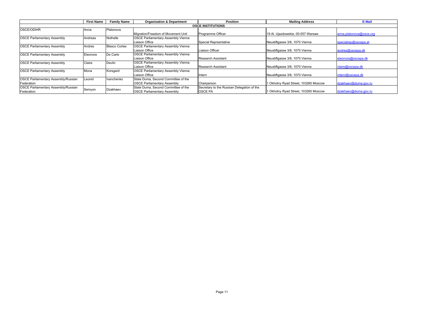|                                            | <b>First Name</b> | <b>Family Name</b>   | <b>Organization &amp; Department</b>      | <b>Position</b>                            | <b>Mailing Address</b>               | E-Mail                  |  |  |  |
|--------------------------------------------|-------------------|----------------------|-------------------------------------------|--------------------------------------------|--------------------------------------|-------------------------|--|--|--|
| <b>OSCE INSTITUTIONS</b>                   |                   |                      |                                           |                                            |                                      |                         |  |  |  |
| <b>OSCE/ODIHR</b>                          | Anna              | Platonova            |                                           |                                            |                                      |                         |  |  |  |
|                                            |                   |                      | Migration/Freedom of Movement Unit        | Programme Officer                          | 19 Al. Ujazdowskie, 00-557 Warsaw    | anna.platonova@osce.org |  |  |  |
| <b>OSCE Parliamentary Assembly</b>         | Andreas           | Nothelle             | <b>OSCE Parliamentary Assembly Vienna</b> |                                            |                                      |                         |  |  |  |
|                                            |                   |                      | Liaison Office                            | Special Reprsentative                      | Neustiftgasse 3/8, 1070 Vienna       | specialrep@oscepa.at    |  |  |  |
| <b>OSCE Parliamentary Assembly</b>         | Andres            | <b>Blasco Cortes</b> | <b>OSCE Parliamentary Assembly Vienna</b> |                                            |                                      |                         |  |  |  |
|                                            |                   |                      | Liaison Office                            | Liaison Officer                            | Neustiftgasse 3/8, 1070 Vienna       | andres@oscepa.dk        |  |  |  |
| <b>OSCE Parliamentary Assembly</b>         | Eleonora          | De Carlo             | OSCE Parliamentary Assembly Vienna        |                                            |                                      |                         |  |  |  |
|                                            |                   |                      | Liaison Office                            | <b>Research Assistant</b>                  | Neustiftgasse 3/8, 1070 Vienna       | eleonora@oscepa.dk      |  |  |  |
| <b>OSCE Parliamentary Assembly</b>         | Claire            | Devlin               | OSCE Parliamentary Assembly Vienna        |                                            |                                      |                         |  |  |  |
|                                            |                   |                      | Liaison Office                            | <b>Research Assistant</b>                  | Neustiftgasse 3/8, 1070 Vienna       | claire@oscepa.dk        |  |  |  |
| <b>OSCE Parliamentary Assembly</b>         | Mona              | Korsgard             | <b>OSCE Parliamentary Assembly Vienna</b> |                                            |                                      |                         |  |  |  |
|                                            |                   |                      | Liaison Office                            | Intern                                     | Neustiftgasse 3/8, 1070 Vienna       | intern@oscepa.dk        |  |  |  |
| <b>OSCE Parliamentary Assembly/Russian</b> | Leonid            | Ivanchenko           | State Duma, Second Committee of the       |                                            |                                      |                         |  |  |  |
| Federation                                 |                   |                      | <b>OSCE Parliamentary Assembly</b>        | Chairperson                                | 1 Okhotny Ryad Street, 103265 Moscow | dzakhaev@duma.gov.ru    |  |  |  |
| <b>OSCE Parliamentary Assembly/Russian</b> | Semyon            | Dzakhaev             | State Duma, Second Committee of the       | Secretary to the Russian Delegation of the |                                      |                         |  |  |  |
| Federation                                 |                   |                      | <b>OSCE Parliamentary Assembly</b>        | <b>OSCE PA</b>                             | 1 Okhotny Ryad Street, 103265 Moscow | dzakhaev@duma.gov.ru    |  |  |  |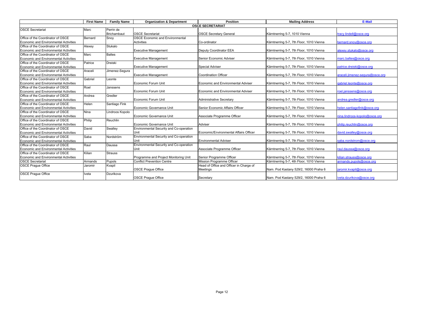|                                       | <b>First Name</b> | <b>Family Name</b> | <b>Organization &amp; Department</b>    | <b>Position</b>                         | <b>Mailing Address</b>                   | E-Mail                          |  |  |  |
|---------------------------------------|-------------------|--------------------|-----------------------------------------|-----------------------------------------|------------------------------------------|---------------------------------|--|--|--|
| <b>OSCE SECRETARIAT</b>               |                   |                    |                                         |                                         |                                          |                                 |  |  |  |
| <b>OSCE Secretariat</b>               | Marc              | Perrin de          |                                         |                                         |                                          |                                 |  |  |  |
|                                       |                   | <b>Brichambaut</b> | <b>OSCE Secretariat</b>                 | <b>OSCE Secretary General</b>           | Kärntnerring 5-7, 1010 Vienna            | tracy.lindell@osce.org          |  |  |  |
| Office of the Coordinator of OSCE     | Bernard           | Snoy               | <b>OSCE Economic and Environmental</b>  |                                         |                                          |                                 |  |  |  |
| Economic and Environmental Activities |                   |                    | <b>Activities</b>                       | Co-ordinator                            | Kärntnerring 5-7, 7th Floor, 1010 Vienna | bernard.snov@osce.org           |  |  |  |
| Office of the Coordinator of OSCE     | Alexey            | Stukalo            |                                         |                                         |                                          |                                 |  |  |  |
| Economic and Environmental Activities |                   |                    | <b>Executive Management</b>             | <b>Deputy Coordinator EEA</b>           | Kärntnerring 5-7, 7th Floor, 1010 Vienna | alexey.stukalo@osce.org         |  |  |  |
| Office of the Coordinator of OSCE     | Marc              | <b>Baltes</b>      |                                         |                                         |                                          |                                 |  |  |  |
| Economic and Environmental Activities |                   |                    | <b>Executive Management</b>             | Senior Economic Adviser                 | Kärntnerring 5-7, 7th Floor, 1010 Vienna | marc.baltes@osce.org            |  |  |  |
| Office of the Coordinator of OSCE     | Patrice           | <b>Dreiski</b>     |                                         |                                         |                                          |                                 |  |  |  |
| Economic and Environmental Activities |                   |                    | <b>Executive Management</b>             | <b>Special Adviser</b>                  | Kärntnerring 5-7, 7th Floor, 1010 Vienna | patrice.dreiski@osce.org        |  |  |  |
| Office of the Coordinator of OSCE     | Araceli           | Jimenez-Segura     |                                         |                                         |                                          |                                 |  |  |  |
| Economic and Environmental Activities |                   |                    | <b>Executive Management</b>             | <b>Coordination Officer</b>             | Kärntnerring 5-7, 7th Floor, 1010 Vienna | araceli.jimenez-sequra@osce.org |  |  |  |
| Office of the Coordinator of OSCE     | Gabriel           | Leonte             |                                         |                                         |                                          |                                 |  |  |  |
| Economic and Environmental Activities |                   |                    | <b>Economic Forum Unit</b>              | Economic and Environmental Adviser      | Kärntnerring 5-7, 7th Floor, 1010 Vienna | gabriel.leonte@osce.org         |  |  |  |
| Office of the Coordinator of OSCE     | Roel              | Janssens           |                                         |                                         |                                          |                                 |  |  |  |
| Economic and Environmental Activities |                   |                    | <b>Economic Forum Unit</b>              | Economic and Environmental Adviser      | Kärntnerring 5-7, 7th Floor, 1010 Vienna | roel.ianssens@osce.org          |  |  |  |
| Office of the Coordinator of OSCE     | Andrea            | Gredler            |                                         |                                         |                                          |                                 |  |  |  |
| Economic and Environmental Activities |                   |                    | <b>Economic Forum Unit</b>              | <b>Administrative Secretary</b>         | Kärntnerring 5-7, 7th Floor, 1010 Vienna | andrea.gredler@osce.org         |  |  |  |
| Office of the Coordinator of OSCE     | Helen             | Santiago Fink      |                                         |                                         |                                          |                                 |  |  |  |
| Economic and Environmental Activities |                   |                    | Economic Governance Unit                | Senior Economic Affairs Officer         | Kärntnerring 5-7, 7th Floor, 1010 Vienna | helen.santiagofink@osce.org     |  |  |  |
| Office of the Coordinator of OSCE     | Nina              | Lindroos Kopolo    |                                         |                                         |                                          |                                 |  |  |  |
| Economic and Environmental Activities |                   |                    | Economic Governance Unit                | Associate Programme Officer             | Kärntnerring 5-7, 7th Floor, 1010 Vienna | nina.lindroos-kopolo@osce.org   |  |  |  |
| Office of the Coordinator of OSCE     | Philip            | Reuchlin           |                                         |                                         |                                          |                                 |  |  |  |
| Economic and Environmental Activities |                   |                    | Economic Governance Unit                | Adviser                                 | Kärntnerring 5-7, 7th Floor, 1010 Vienna | philip.reuchlin@osce.org        |  |  |  |
| Office of the Coordinator of OSCE     | David             | Swalley            | Environmental Security and Co-operation |                                         |                                          |                                 |  |  |  |
| Economic and Environmental Activities |                   |                    | Unit                                    | Economic/Environmental Affairs Officer  | Kärntnerring 5-7, 7th Floor, 1010 Vienna | david.swallev@osce.org          |  |  |  |
| Office of the Coordinator of OSCE     | Saba              | Nordström          | Environmental Security and Co-operation |                                         |                                          |                                 |  |  |  |
| Economic and Environmental Activities |                   |                    | Unit                                    | <b>Environmental Adviser</b>            | Kärntnerring 5-7, 7th Floor, 1010 Vienna | saba.nordstrom@osce.org         |  |  |  |
| Office of the Coordinator of OSCE     | Raul              | Daussa             | Environmental Security and Co-operation |                                         |                                          |                                 |  |  |  |
| Economic and Environmental Activities |                   |                    | Unit                                    | Associate Programme Officer             | Kärntnerring 5-7, 7th Floor, 1010 Vienna | raul.daussa@osce.org            |  |  |  |
| Office of the Coordinator of OSCE     | Kilian            | <b>Strauss</b>     |                                         |                                         |                                          |                                 |  |  |  |
| Economic and Environmental Activities |                   |                    | Programme and Project Monitoring Unit   | Senior Programme Officer                | Kärntnerring 5-7, 7th Floor, 1010 Vienna | kilian.strauss@osce.org         |  |  |  |
| <b>OSCE Secretariat</b>               | Armands           | Pupols             | <b>Conflict Prevention Centre</b>       | Mission Programme Officer               | Kärntnerring 5-7, 4th Floor, 1010 Vienna | armands.pupols@osce.org         |  |  |  |
| <b>OSCE Prague Office</b>             | Jaromir           | Kvapil             |                                         | Head of Office and Officer in Charge of |                                          |                                 |  |  |  |
|                                       |                   |                    | <b>OSCE Prague Office</b>               | <b>Meetings</b>                         | Nam. Pod Kastany 529/2, 16000 Praha 6    | jaromir.kvapil@osce.org         |  |  |  |
| <b>OSCE Praque Office</b>             | Iveta             | Dzurikova          |                                         |                                         |                                          |                                 |  |  |  |
|                                       |                   |                    | <b>OSCE Prague Office</b>               | Secretary                               | Nam. Pod Kastany 529/2, 16000 Praha 6    | iveta.dzurikova@osce.org        |  |  |  |